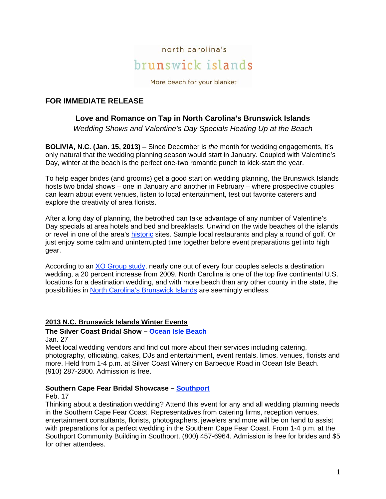

More beach for your blanket

# **FOR IMMEDIATE RELEASE**

# **Love and Romance on Tap in North Carolina's Brunswick Islands**

*Wedding Shows and Valentine's Day Specials Heating Up at the Beach* 

**BOLIVIA, N.C. (Jan. 15, 2013)** – Since December is *the* month for wedding engagements, it's only natural that the wedding planning season would start in January. Coupled with Valentine's Day, winter at the beach is the perfect one-two romantic punch to kick-start the year.

To help eager brides (and grooms) get a good start on wedding planning, the Brunswick Islands hosts two bridal shows – one in January and another in February – where prospective couples can learn about event venues, listen to local entertainment, test out favorite caterers and explore the creativity of area florists.

After a long day of planning, the betrothed can take advantage of any number of Valentine's Day specials at area hotels and bed and breakfasts. Unwind on the wide beaches of the islands or revel in one of the area's historic sites. Sample local restaurants and play a round of golf. Or just enjoy some calm and uninterrupted time together before event preparations get into high gear.

According to an XO Group study, nearly one out of every four couples selects a destination wedding, a 20 percent increase from 2009. North Carolina is one of the top five continental U.S. locations for a destination wedding, and with more beach than any other county in the state, the possibilities in North Carolina's Brunswick Islands are seemingly endless.

# **2013 N.C. Brunswick Islands Winter Events**

# **The Silver Coast Bridal Show – Ocean Isle Beach**

Jan. 27

Meet local wedding vendors and find out more about their services including catering, photography, officiating, cakes, DJs and entertainment, event rentals, limos, venues, florists and more. Held from 1-4 p.m. at Silver Coast Winery on Barbeque Road in Ocean Isle Beach. (910) 287-2800. Admission is free.

#### **Southern Cape Fear Bridal Showcase – Southport**

Feb. 17

Thinking about a destination wedding? Attend this event for any and all wedding planning needs in the Southern Cape Fear Coast. Representatives from catering firms, reception venues, entertainment consultants, florists, photographers, jewelers and more will be on hand to assist with preparations for a perfect wedding in the Southern Cape Fear Coast. From 1-4 p.m. at the Southport Community Building in Southport. (800) 457-6964. Admission is free for brides and \$5 for other attendees.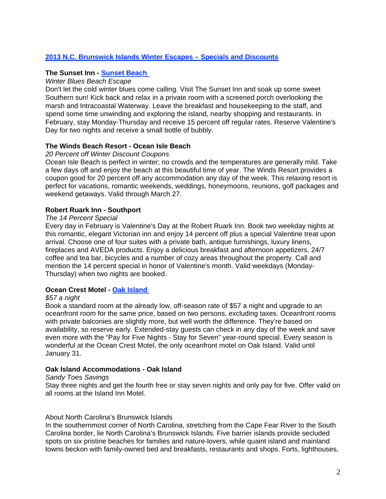# **2013 N.C. Brunswick Islands Winter Escapes – Specials and Discounts**

## **The Sunset Inn - Sunset Beach**

## *Winter Blues Beach Escape*

Don't let the cold winter blues come calling. Visit The Sunset Inn and soak up some sweet Southern sun! Kick back and relax in a private room with a screened porch overlooking the marsh and Intracoastal Waterway. Leave the breakfast and housekeeping to the staff, and spend some time unwinding and exploring the island, nearby shopping and restaurants. In February, stay Monday-Thursday and receive 15 percent off regular rates. Reserve Valentine's Day for two nights and receive a small bottle of bubbly.

## **The Winds Beach Resort - Ocean Isle Beach**

#### *20 Percent off Winter Discount Coupons*

Ocean Isle Beach is perfect in winter; no crowds and the temperatures are generally mild. Take a few days off and enjoy the beach at this beautiful time of year. The Winds Resort provides a coupon good for 20 percent off any accommodation any day of the week. This relaxing resort is perfect for vacations, romantic weekends, weddings, honeymoons, reunions, golf packages and weekend getaways. Valid through March 27.

## **Robert Ruark Inn - Southport**

#### *The 14 Percent Special*

Every day in February is Valentine's Day at the Robert Ruark Inn. Book two weekday nights at this romantic, elegant Victorian inn and enjoy 14 percent off plus a special Valentine treat upon arrival. Choose one of four suites with a private bath, antique furnishings, luxury linens, fireplaces and AVEDA products. Enjoy a delicious breakfast and afternoon appetizers, 24/7 coffee and tea bar, bicycles and a number of cozy areas throughout the property. Call and mention the 14 percent special in honor of Valentine's month. Valid weekdays (Monday-Thursday) when two nights are booked.

# **Ocean Crest Motel - Oak Island**

#### *\$57 a night*

Book a standard room at the already low, off-season rate of \$57 a night and upgrade to an oceanfront room for the same price, based on two persons, excluding taxes. Oceanfront rooms with private balconies are slightly more, but well worth the difference. They're based on availability, so reserve early. Extended-stay guests can check in any day of the week and save even more with the "Pay for Five Nights - Stay for Seven" year-round special. Every season is wonderful at the Ocean Crest Motel, the only oceanfront motel on Oak Island. Valid until January 31.

#### **Oak Island Accommodations - Oak Island**

#### *Sandy Toes Savings*

Stay three nights and get the fourth free or stay seven nights and only pay for five. Offer valid on all rooms at the Island Inn Motel.

#### About North Carolina's Brunswick Islands

In the southernmost corner of North Carolina, stretching from the Cape Fear River to the South Carolina border, lie North Carolina's Brunswick Islands. Five barrier islands provide secluded spots on six pristine beaches for families and nature-lovers, while quaint island and mainland towns beckon with family-owned bed and breakfasts, restaurants and shops. Forts, lighthouses,